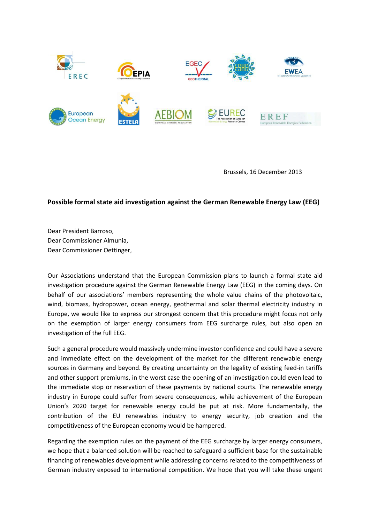

Brussels, 16 December 2013

## **Possible formal state aid investigation against the German Renewable Energy Law (EEG)**

Dear President Barroso, Dear Commissioner Almunia, Dear Commissioner Oettinger,

Our Associations understand that the European Commission plans to launch a formal state aid investigation procedure against the German Renewable Energy Law (EEG) in the coming days. On behalf of our associations' members representing the whole value chains of the photovoltaic, wind, biomass, hydropower, ocean energy, geothermal and solar thermal electricity industry in Europe, we would like to express our strongest concern that this procedure might focus not only on the exemption of larger energy consumers from EEG surcharge rules, but also open an investigation of the full EEG.

Such a general procedure would massively undermine investor confidence and could have a severe and immediate effect on the development of the market for the different renewable energy sources in Germany and beyond. By creating uncertainty on the legality of existing feed-in tariffs and other support premiums, in the worst case the opening of an investigation could even lead to the immediate stop or reservation of these payments by national courts. The renewable energy industry in Europe could suffer from severe consequences, while achievement of the European Union's 2020 target for renewable energy could be put at risk. More fundamentally, the contribution of the EU renewables industry to energy security, job creation and the competitiveness of the European economy would be hampered.

Regarding the exemption rules on the payment of the EEG surcharge by larger energy consumers, we hope that a balanced solution will be reached to safeguard a sufficient base for the sustainable financing of renewables development while addressing concerns related to the competitiveness of German industry exposed to international competition. We hope that you will take these urgent